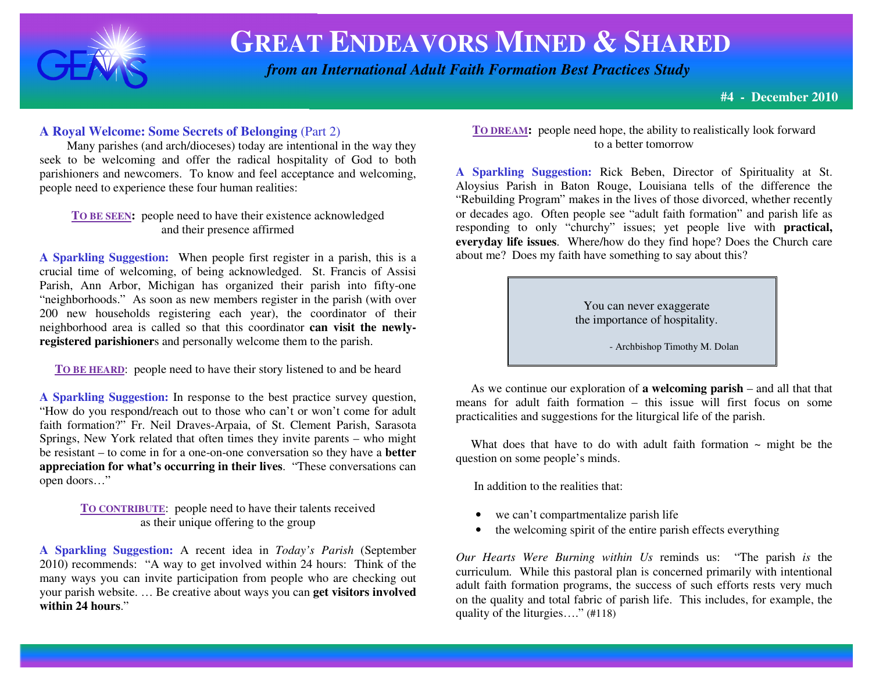

# **GREAT ENDEAVORS MINED & <sup>S</sup>HARED**

 *from an International Adult Faith Formation Best Practices Study*

**#4 - December 2010**

#### **A Royal Welcome: Some Secrets of Belonging** (Part 2)

 Many parishes (and arch/dioceses) today are intentional in the way they seek to be welcoming and offer the radical hospitality of God to both parishioners and newcomers. To know and feel acceptance and welcoming, people need to experience these four human realities:

**TO BE SEEN:** people need to have their existence acknowledged and their presence affirmed

**A Sparkling Suggestion:** When people first register in a parish, this is a crucial time of welcoming, of being acknowledged. St. Francis of Assisi Parish, Ann Arbor, Michigan has organized their parish into fifty-one "neighborhoods." As soon as new members register in the parish (with over 200 new households registering each year), the coordinator of their neighborhood area is called so that this coordinator **can visit the newlyregistered parishioner**s and personally welcome them to the parish.

**TO BE HEARD**: people need to have their story listened to and be heard

**A Sparkling Suggestion:** In response to the best practice survey question, "How do you respond/reach out to those who can't or won't come for adult faith formation?" Fr. Neil Draves-Arpaia, of St. Clement Parish, Sarasota Springs, New York related that often times they invite parents – who might be resistant – to come in for a one-on-one conversation so they have a **better appreciation for what's occurring in their lives**. "These conversations can open doors…"

> **TO CONTRIBUTE**: people need to have their talents received as their unique offering to the group

**A Sparkling Suggestion:** A recent idea in *Today's Parish* (September 2010) recommends: "A way to get involved within 24 hours: Think of the many ways you can invite participation from people who are checking out your parish website. … Be creative about ways you can **get visitors involvedwithin 24 hours**."

**TO DREAM:** people need hope, the ability to realistically look forward to a better tomorrow

**A Sparkling Suggestion:** Rick Beben, Director of Spirituality at St. Aloysius Parish in Baton Rouge, Louisiana tells of the difference the "Rebuilding Program" makes in the lives of those divorced, whether recently or decades ago. Often people see "adult faith formation" and parish life as responding to only "churchy" issues; yet people live with **practical, everyday life issues**. Where/how do they find hope? Does the Church care about me? Does my faith have something to say about this?

> You can never exaggerate the importance of hospitality.

> > - Archbishop Timothy M. Dolan

 As we continue our exploration of **a welcoming parish** – and all that that means for adult faith formation – this issue will first focus on some practicalities and suggestions for the liturgical life of the parish.

What does that have to do with adult faith formation  $\sim$  might be the question on some people's minds.

In addition to the realities that:

- we can't compartmentalize parish life
- the welcoming spirit of the entire parish effects everything

*Our Hearts Were Burning within Us* reminds us: "The parish *is* the curriculum. While this pastoral plan is concerned primarily with intentional adult faith formation programs, the success of such efforts rests very much on the quality and total fabric of parish life. This includes, for example, the quality of the liturgies…." (#118)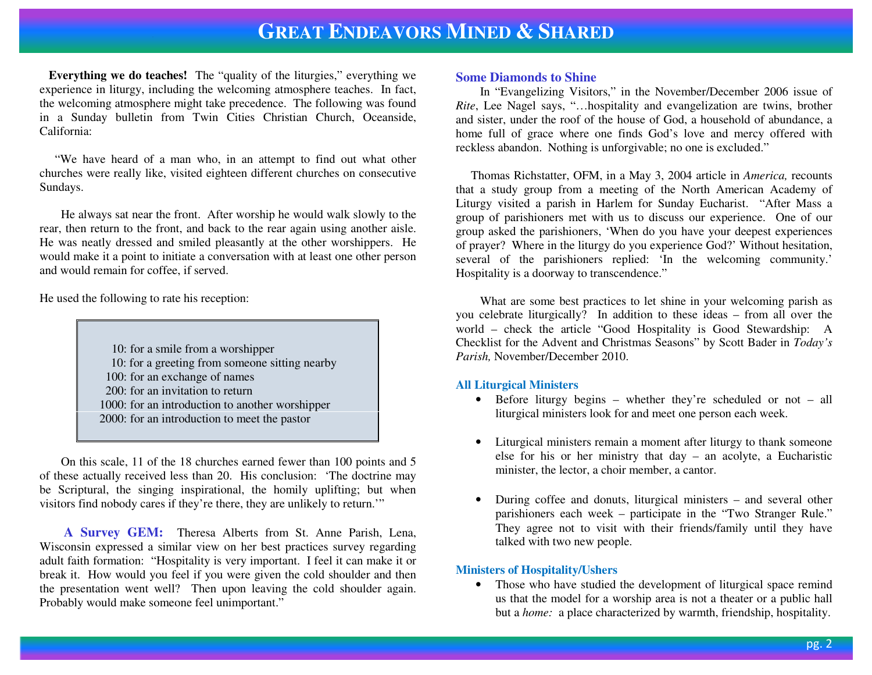## **GREAT ENDEAVORS MINED &SHARED**

**Everything we do teaches!** The "quality of the liturgies," everything we experience in liturgy, including the welcoming atmosphere teaches. In fact, the welcoming atmosphere might take precedence. The following was found in a Sunday bulletin from Twin Cities Christian Church, Oceanside, California:

 "We have heard of a man who, in an attempt to find out what other churches were really like, visited eighteen different churches on consecutive Sundays.

 He always sat near the front. After worship he would walk slowly to the rear, then return to the front, and back to the rear again using another aisle. He was neatly dressed and smiled pleasantly at the other worshippers. He would make it a point to initiate a conversation with at least one other person and would remain for coffee, if served.

He used the following to rate his reception:

 10: for a smile from a worshipper 10: for a greeting from someone sitting nearby 100: for an exchange of names 200: for an invitation to return 1000: for an introduction to another worshipper 2000: for an introduction to meet the pastor

 On this scale, 11 of the 18 churches earned fewer than 100 points and 5 of these actually received less than 20. His conclusion: 'The doctrine may be Scriptural, the singing inspirational, the homily uplifting; but when visitors find nobody cares if they're there, they are unlikely to return.'"

**A Survey GEM:** Theresa Alberts from St. Anne Parish, Lena, Wisconsin expressed a similar view on her best practices survey regarding adult faith formation: "Hospitality is very important. I feel it can make it or break it. How would you feel if you were given the cold shoulder and then the presentation went well? Then upon leaving the cold shoulder again. Probably would make someone feel unimportant."

#### **Some Diamonds to Shine**

 In "Evangelizing Visitors," in the November/December 2006 issue of *Rite*, Lee Nagel says, "…hospitality and evangelization are twins, brother and sister, under the roof of the house of God, a household of abundance, a home full of grace where one finds God's love and mercy offered with reckless abandon. Nothing is unforgivable; no one is excluded."

Thomas Richstatter, OFM, in a May 3, 2004 article in *America,* recounts that a study group from a meeting of the North American Academy of Liturgy visited a parish in Harlem for Sunday Eucharist. "After Mass a group of parishioners met with us to discuss our experience. One of our group asked the parishioners, 'When do you have your deepest experiences of prayer? Where in the liturgy do you experience God?' Without hesitation, several of the parishioners replied: 'In the welcoming community.' Hospitality is a doorway to transcendence."

 What are some best practices to let shine in your welcoming parish as you celebrate liturgically? In addition to these ideas – from all over the world – check the article "Good Hospitality is Good Stewardship: A Checklist for the Advent and Christmas Seasons" by Scott Bader in *Today's Parish,* November/December 2010.

#### **All Liturgical Ministers**

- Before liturgy begins whether they're scheduled or not all liturgical ministers look for and meet one person each week.
- Liturgical ministers remain a moment after liturgy to thank someone else for his or her ministry that day – an acolyte, a Eucharistic minister, the lector, a choir member, a cantor.
- • During coffee and donuts, liturgical ministers – and several other parishioners each week – participate in the "Two Stranger Rule." They agree not to visit with their friends/family until they have talked with two new people.

#### **Ministers of Hospitality/Ushers**

 • Those who have studied the development of liturgical space remind us that the model for a worship area is not a theater or a public hall but a *home:* a place characterized by warmth, friendship, hospitality.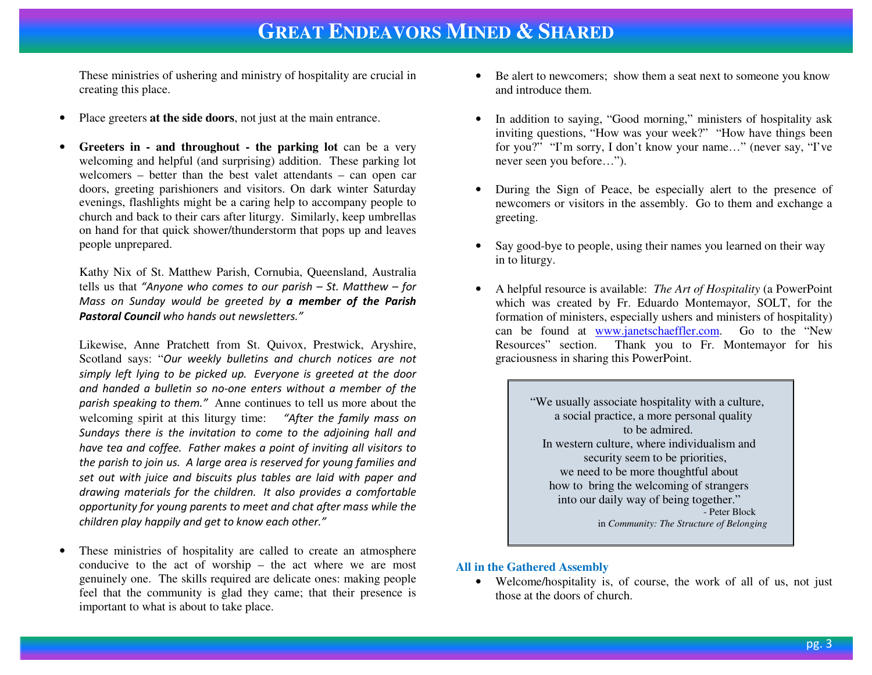These ministries of ushering and ministry of hospitality are crucial in creating this place.

- •Place greeters **at the side doors**, not just at the main entrance.
- • **Greeters in - and throughout - the parking lot** can be a very welcoming and helpful (and surprising) addition. These parking lot welcomers – better than the best valet attendants – can open car doors, greeting parishioners and visitors. On dark winter Saturday evenings, flashlights might be a caring help to accompany people to church and back to their cars after liturgy. Similarly, keep umbrellas on hand for that quick shower/thunderstorm that pops up and leaves people unprepared.

Kathy Nix of St. Matthew Parish, Cornubia, Queensland, Australia tells us that "Anyone who comes to our parish – St. Matthew – forMass on Sunday would be greeted by **a member of the Parish** Pastoral Council who hands out newsletters."

Likewise, Anne Pratchett from St. Quivox, Prestwick, Aryshire, Scotland says: "Our weekly bulletins and church notices are not simply left lying to be picked up. Everyone is greeted at the door and handed a bulletin so no-one enters without a member of the parish speaking to them." Anne continues to tell us more about thewelcoming spirit at this liturgy time: "After the family mass on Sundays there is the invitation to come to the adjoining hall and have tea and coffee. Father makes a point of inviting all visitors to the parish to join us. A large area is reserved for young families and set out with juice and biscuits plus tables are laid with paper and drawing materials for the children. It also provides a comfortable opportunity for young parents to meet and chat after mass while the children play happily and get to know each other."

• These ministries of hospitality are called to create an atmosphere conducive to the act of worship – the act where we are most genuinely one. The skills required are delicate ones: making people feel that the community is glad they came; that their presence is important to what is about to take place.

- Be alert to new comers; show them a seat next to some one you know and introduce them.
- • In addition to saying, "Good morning," ministers of hospitality ask inviting questions, "How was your week?" "How have things been for you?" "I'm sorry, I don't know your name…" (never say, "I've never seen you before…").
- • During the Sign of Peace, be especially alert to the presence of newcomers or visitors in the assembly. Go to them and exchange a greeting.
- • Say good-bye to people, using their names you learned on their way in to liturgy.
- • A helpful resource is available: *The Art of Hospitality* (a PowerPoint which was created by Fr. Eduardo Montemayor, SOLT, for the formation of ministers, especially ushers and ministers of hospitality) can be found at www.janetschaeffler.com. Go to the "New Resources" section. Thank you to Fr. Montemayor for his graciousness in sharing this PowerPoint.

"We usually associate hospitality with a culture, a social practice, a more personal quality to be admired. In western culture, where individualism and security seem to be priorities, we need to be more thoughtful about how to bring the welcoming of strangers into our daily way of being together." - Peter Block in *Community: The Structure of Belonging* 

#### **All in the Gathered Assembly**

• Welcome/hospitality is, of course, the work of all of us, not just those at the doors of church.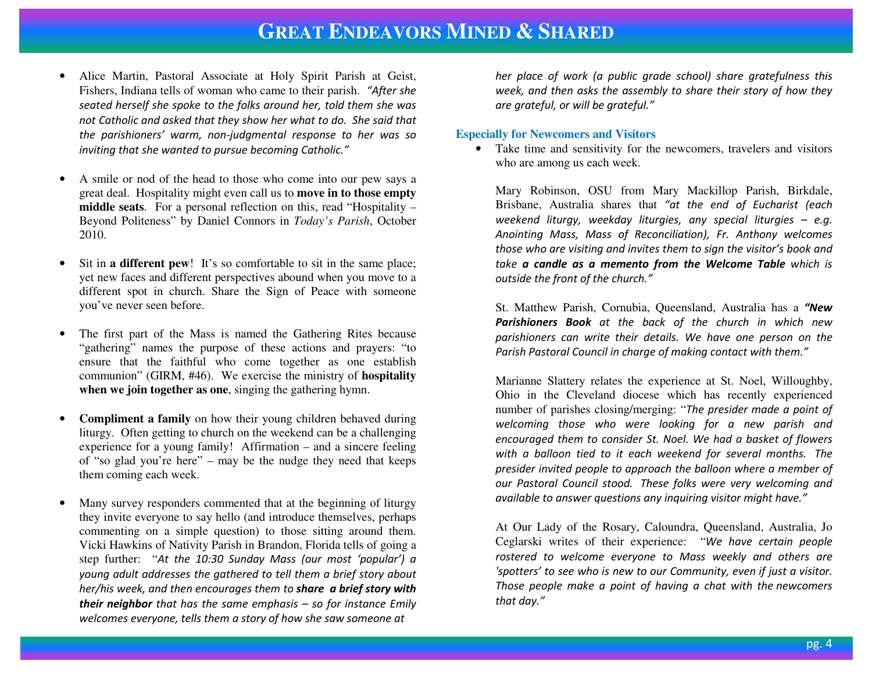## **GREAT ENDEAVORS MINED &SHARED**

- • Alice Martin, Pastoral Associate at Holy Spirit Parish at Geist, Fishers, Indiana tells of woman who came to their parish. "After she seated herself she spoke to the folks around her, told them she was not Catholic and asked that they show her what to do. She said that the parishioners' warm, non-judgmental response to her was so inviting that she wanted to pursue becoming Catholic."
- • A smile or nod of the head to those who come into our pew says a great deal. Hospitality might even call us to **move in to those empty middle seats**. For a personal reflection on this, read "Hospitality – Beyond Politeness" by Daniel Connors in *Today's Parish*, October 2010.
- • Sit in **a different pew**! It's so comfortable to sit in the same place; yet new faces and different perspectives abound when you move to a different spot in church. Share the Sign of Peace with someone you've never seen before.
- • The first part of the Mass is named the Gathering Rites because "gathering" names the purpose of these actions and prayers: "to ensure that the faithful who come together as one establish communion" (GIRM, #46). We exercise the ministry of **hospitalitywhen we join together as one**, singing the gathering hymn.
- • **Compliment a family** on how their young children behaved during liturgy. Often getting to church on the weekend can be a challenging experience for a young family! Affirmation – and a sincere feeling of "so glad you're here" – may be the nudge they need that keeps them coming each week.
- • Many survey responders commented that at the beginning of liturgy they invite everyone to say hello (and introduce themselves, perhaps commenting on a simple question) to those sitting around them. Vicki Hawkins of Nativity Parish in Brandon, Florida tells of going a step further: "At the 10:30 Sunday Mass (our most 'popular') a young adult addresses the gathered to tell them a brief story about her/his week, and then encourages them to **share a brief story with their neighbor** that has the same emphasis – so for instance Emily welcomes everyone, tells them a story of how she saw someone at

her place of work (a public grade school) share gratefulness this week, and then asks the assembly to share their story of how they are grateful, or will be grateful."

#### **Especially for Newcomers and Visitors**

 • Take time and sensitivity for the newcomers, travelers and visitors who are among us each week.

Mary Robinson, OSU from Mary Mackillop Parish, Birkdale, Brisbane, Australia shares that "at the end of Eucharist (each weekend liturgy, weekday liturgies, any special liturgies  $-$  e.g. Anointing Mass, Mass of Reconciliation), Fr. Anthony welcomes those who are visiting and invites them to sign the visitor's book and take a candle as a memento from the Welcome Table which is outside the front of the church."

St. Matthew Parish, Cornubia, Queensland, Australia has a "New Parishioners Book at the back of the church in which new parishioners can write their details. We have one person on the Parish Pastoral Council in charge of making contact with them."

Marianne Slattery relates the experience at St. Noel, Willoughby, Ohio in the Cleveland diocese which has recently experienced number of parishes closing/merging: "The presider made a point of welcoming those who were looking for a new parish and encouraged them to consider St. Noel. We had a basket of flowers with a balloon tied to it each weekend for several months. The presider invited people to approach the balloon where a member of our Pastoral Council stood. These folks were very welcoming and available to answer questions any inquiring visitor might have."

At Our Lady of the Rosary, Caloundra, Queensland, Australia, Jo Ceglarski writes of their experience: "We have certain people rostered to welcome everyone to Mass weekly and others are 'spotters' to see who is new to our Community, even if just a visitor. Those people make a point of having a chat with the newcomers that day."